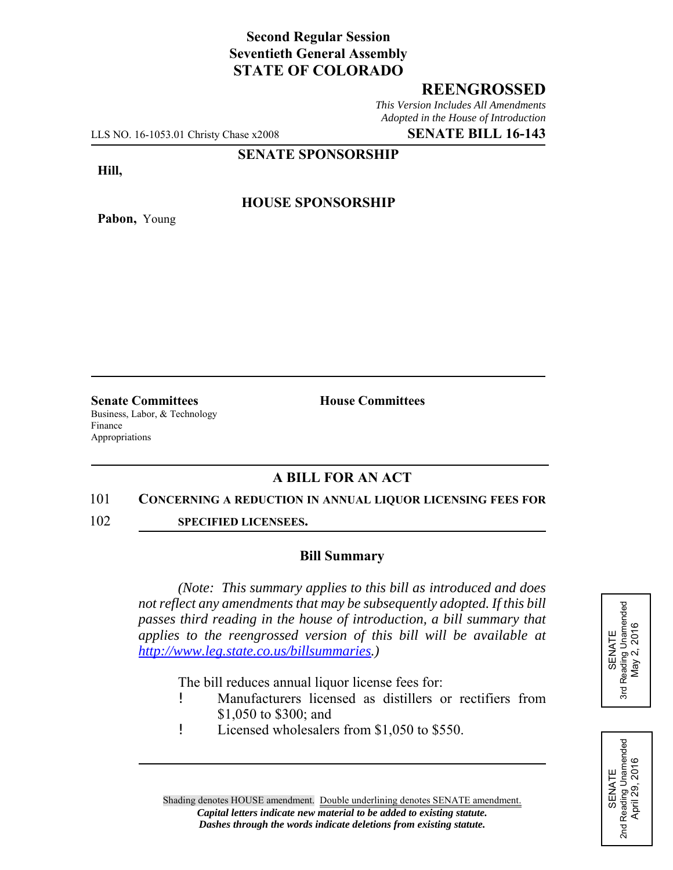# **Second Regular Session Seventieth General Assembly STATE OF COLORADO**

## **REENGROSSED**

*This Version Includes All Amendments Adopted in the House of Introduction*

LLS NO. 16-1053.01 Christy Chase x2008 **SENATE BILL 16-143**

#### **SENATE SPONSORSHIP**

**Hill,**

**Pabon,** Young

**HOUSE SPONSORSHIP**

**Senate Committees House Committees** Business, Labor, & Technology Finance Appropriations

## **A BILL FOR AN ACT**

#### 101 **CONCERNING A REDUCTION IN ANNUAL LIQUOR LICENSING FEES FOR**

102 **SPECIFIED LICENSEES.**

### **Bill Summary**

*(Note: This summary applies to this bill as introduced and does not reflect any amendments that may be subsequently adopted. If this bill passes third reading in the house of introduction, a bill summary that applies to the reengrossed version of this bill will be available at http://www.leg.state.co.us/billsummaries.)*

The bill reduces annual liquor license fees for:

- ! Manufacturers licensed as distillers or rectifiers from \$1,050 to \$300; and
- ! Licensed wholesalers from \$1,050 to \$550.